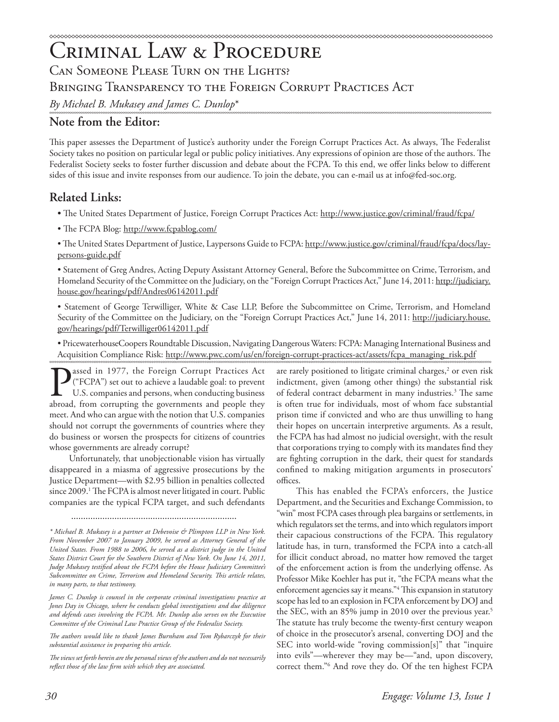# Criminal Law & Procedure CAN SOMEONE PLEASE TURN ON THE LIGHTS? Bringing Transparency to the Foreign Corrupt Practices Act *By Michael B. Mukasey and James C. Dunlop*\*

# **Note from the Editor:**

This paper assesses the Department of Justice's authority under the Foreign Corrupt Practices Act. As always, The Federalist Society takes no position on particular legal or public policy initiatives. Any expressions of opinion are those of the authors. The Federalist Society seeks to foster further discussion and debate about the FCPA. To this end, we offer links below to different sides of this issue and invite responses from our audience. To join the debate, you can e-mail us at info@fed-soc.org.

# **Related Links:**

- The United States Department of Justice, Foreign Corrupt Practices Act: http://www.justice.gov/criminal/fraud/fcpa/
- The FCPA Blog: http://www.fcpablog.com/

• The United States Department of Justice, Laypersons Guide to FCPA: http://www.justice.gov/criminal/fraud/fcpa/docs/laypersons-guide.pdf

• Statement of Greg Andres, Acting Deputy Assistant Attorney General, Before the Subcommittee on Crime, Terrorism, and Homeland Security of the Committee on the Judiciary, on the "Foreign Corrupt Practices Act," June 14, 2011: <u>http://judiciary.</u> house.gov/hearings/pdf/Andres06142011.pdf

• Statement of George Terwilliger, White & Case LLP, Before the Subcommittee on Crime, Terrorism, and Homeland Security of the Committee on the Judiciary, on the "Foreign Corrupt Practices Act," June 14, 2011: http://judiciary.house. gov/hearings/pdf/Terwilliger06142011.pdf

• PricewaterhouseCoopers Roundtable Discussion, Navigating Dangerous Waters: FCPA: Managing International Business and Acquisition Compliance Risk: http://www.pwc.com/us/en/foreign-corrupt-practices-act/assets/fcpa\_managing\_risk.pdf

assed in 1977, the Foreign Corrupt Practices Act ("FCPA") set out to achieve a laudable goal: to prevent U.S. companies and persons, when conducting business abroad, from corrupting the governments and people they meet. And who can argue with the notion that U.S. companies should not corrupt the governments of countries where they do business or worsen the prospects for citizens of countries whose governments are already corrupt?

Unfortunately, that unobjectionable vision has virtually disappeared in a miasma of aggressive prosecutions by the Justice Department—with \$2.95 billion in penalties collected since 2009.<sup>1</sup> The FCPA is almost never litigated in court. Public companies are the typical FCPA target, and such defendants

.....................................................................

James C. Dunlop is counsel in the corporate criminal investigations practice at *Jones Day in Chicago, where he conducts global investigations and due diligence and defends cases involving the FCPA. Mr. Dunlop also serves on the Executive Committee of the Criminal Law Practice Group of the Federalist Society.*

*The authors would like to thank James Burnham and Tom Rybarczyk for their substantial assistance in preparing this article.*

*The views set forth herein are the personal views of the authors and do not necessarily reflect those of the law firm with which they are associated.*

are rarely positioned to litigate criminal charges,<sup>2</sup> or even risk indictment, given (among other things) the substantial risk of federal contract debarment in many industries.<sup>3</sup> The same is often true for individuals, most of whom face substantial prison time if convicted and who are thus unwilling to hang their hopes on uncertain interpretive arguments. As a result, the FCPA has had almost no judicial oversight, with the result that corporations trying to comply with its mandates find they are fighting corruption in the dark, their quest for standards confined to making mitigation arguments in prosecutors' offices.

This has enabled the FCPA's enforcers, the Justice Department, and the Securities and Exchange Commission, to "win" most FCPA cases through plea bargains or settlements, in which regulators set the terms, and into which regulators import their capacious constructions of the FCPA. This regulatory latitude has, in turn, transformed the FCPA into a catch-all for illicit conduct abroad, no matter how removed the target of the enforcement action is from the underlying offense. As Professor Mike Koehler has put it, "the FCPA means what the enforcement agencies say it means."4 This expansion in statutory scope has led to an explosion in FCPA enforcement by DOJ and the SEC, with an 85% jump in 2010 over the previous year.<sup>5</sup> The statute has truly become the twenty-first century weapon of choice in the prosecutor's arsenal, converting DOJ and the SEC into world-wide "roving commission[s]" that "inquire into evils"—wherever they may be—"and, upon discovery, correct them."6 And rove they do. Of the ten highest FCPA

*<sup>\*</sup> Michael B. Mukasey is a partner at Debevoise & Plimpton LLP in New York. From November 2007 to January 2009, he served as Attorney General of the*  United States. From 1988 to 2006, he served as a district judge in the United *States District Court for the Southern District of New York. On June 14, 2011, Judge Mukasey testified about the FCPA before the House Judiciary Committee's Subcommittee on Crime, Terrorism and Homeland Security. This article relates, in many parts, to that testimony.*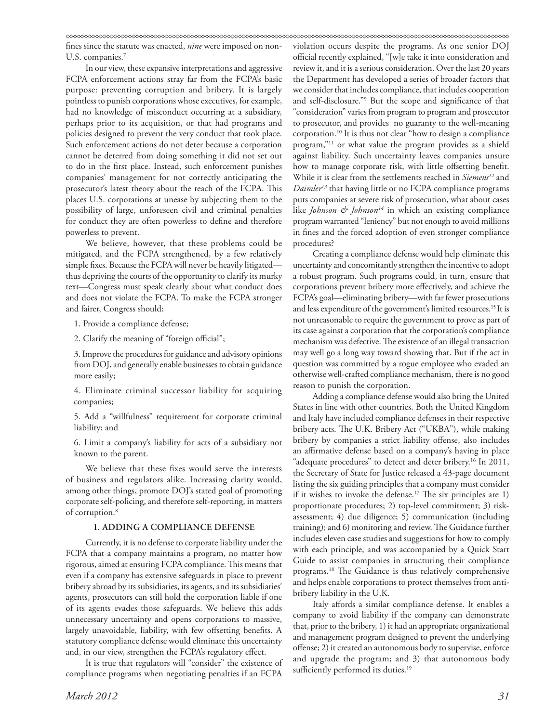fines since the statute was enacted, *nine* were imposed on non-U.S. companies.<sup>7</sup>

In our view, these expansive interpretations and aggressive FCPA enforcement actions stray far from the FCPA's basic purpose: preventing corruption and bribery. It is largely pointless to punish corporations whose executives, for example, had no knowledge of misconduct occurring at a subsidiary, perhaps prior to its acquisition, or that had programs and policies designed to prevent the very conduct that took place. Such enforcement actions do not deter because a corporation cannot be deterred from doing something it did not set out to do in the first place. Instead, such enforcement punishes companies' management for not correctly anticipating the prosecutor's latest theory about the reach of the FCPA. This places U.S. corporations at unease by subjecting them to the possibility of large, unforeseen civil and criminal penalties for conduct they are often powerless to define and therefore powerless to prevent.

We believe, however, that these problems could be mitigated, and the FCPA strengthened, by a few relatively simple fixes. Because the FCPA will never be heavily litigated thus depriving the courts of the opportunity to clarify its murky text—Congress must speak clearly about what conduct does and does not violate the FCPA. To make the FCPA stronger and fairer, Congress should:

1. Provide a compliance defense;

2. Clarify the meaning of "foreign official";

3. Improve the procedures for guidance and advisory opinions from DOJ, and generally enable businesses to obtain guidance more easily;

4. Eliminate criminal successor liability for acquiring companies;

5. Add a "willfulness" requirement for corporate criminal liability; and

6. Limit a company's liability for acts of a subsidiary not known to the parent.

We believe that these fixes would serve the interests of business and regulators alike. Increasing clarity would, among other things, promote DOJ's stated goal of promoting corporate self-policing, and therefore self-reporting, in matters of corruption.<sup>8</sup>

# **1. ADDING A COMPLIANCE DEFENSE**

Currently, it is no defense to corporate liability under the FCPA that a company maintains a program, no matter how rigorous, aimed at ensuring FCPA compliance. This means that even if a company has extensive safeguards in place to prevent bribery abroad by its subsidiaries, its agents, and its subsidiaries' agents, prosecutors can still hold the corporation liable if one of its agents evades those safeguards. We believe this adds unnecessary uncertainty and opens corporations to massive, largely unavoidable, liability, with few offsetting benefits. A statutory compliance defense would eliminate this uncertainty and, in our view, strengthen the FCPA's regulatory effect.

It is true that regulators will "consider" the existence of compliance programs when negotiating penalties if an FCPA

*March 2012 31*

violation occurs despite the programs. As one senior DOJ official recently explained, "[w]e take it into consideration and review it, and it is a serious consideration. Over the last 20 years the Department has developed a series of broader factors that we consider that includes compliance, that includes cooperation and self-disclosure."9 But the scope and significance of that "consideration" varies from program to program and prosecutor to prosecutor, and provides no guaranty to the well-meaning corporation.10 It is thus not clear "how to design a compliance program,"11 or what value the program provides as a shield against liability. Such uncertainty leaves companies unsure how to manage corporate risk, with little offsetting benefit. While it is clear from the settlements reached in *Siemens12* and *Daimler13* that having little or no FCPA compliance programs puts companies at severe risk of prosecution, what about cases like *Johnson & Johnson14* in which an existing compliance program warranted "leniency" but not enough to avoid millions in fines and the forced adoption of even stronger compliance procedures?

Creating a compliance defense would help eliminate this uncertainty and concomitantly strengthen the incentive to adopt a robust program. Such programs could, in turn, ensure that corporations prevent bribery more effectively, and achieve the FCPA's goal—eliminating bribery—with far fewer prosecutions and less expenditure of the government's limited resources.<sup>15</sup> It is not unreasonable to require the government to prove as part of its case against a corporation that the corporation's compliance mechanism was defective. The existence of an illegal transaction may well go a long way toward showing that. But if the act in question was committed by a rogue employee who evaded an otherwise well-crafted compliance mechanism, there is no good reason to punish the corporation.

Adding a compliance defense would also bring the United States in line with other countries. Both the United Kingdom and Italy have included compliance defenses in their respective bribery acts. The U.K. Bribery Act ("UKBA"), while making bribery by companies a strict liability offense, also includes an affirmative defense based on a company's having in place "adequate procedures" to detect and deter bribery.<sup>16</sup> In 2011, the Secretary of State for Justice released a 43-page document listing the six guiding principles that a company must consider if it wishes to invoke the defense.<sup>17</sup> The six principles are 1) proportionate procedures; 2) top-level commitment; 3) riskassessment; 4) due diligence; 5) communication (including training); and 6) monitoring and review. The Guidance further includes eleven case studies and suggestions for how to comply with each principle, and was accompanied by a Quick Start Guide to assist companies in structuring their compliance programs.18 The Guidance is thus relatively comprehensive and helps enable corporations to protect themselves from antibribery liability in the U.K.

Italy affords a similar compliance defense. It enables a company to avoid liability if the company can demonstrate that, prior to the bribery, 1) it had an appropriate organizational and management program designed to prevent the underlying offense; 2) it created an autonomous body to supervise, enforce and upgrade the program; and 3) that autonomous body sufficiently performed its duties.<sup>19</sup>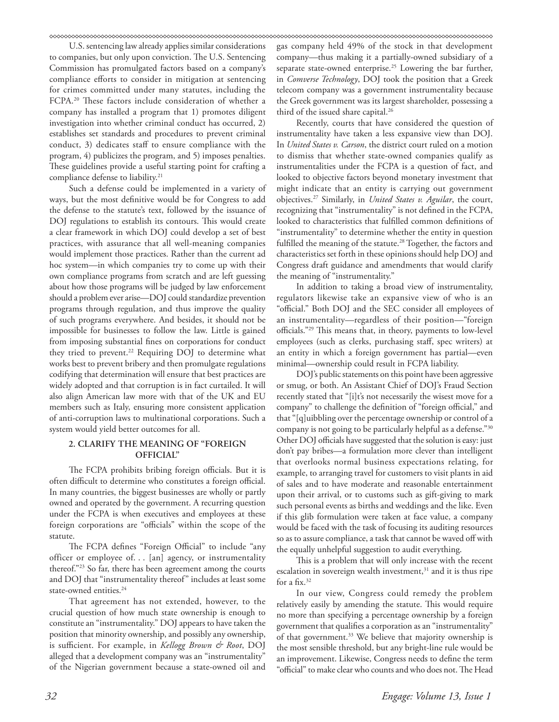U.S. sentencing law already applies similar considerations to companies, but only upon conviction. The U.S. Sentencing Commission has promulgated factors based on a company's compliance efforts to consider in mitigation at sentencing for crimes committed under many statutes, including the FCPA.<sup>20</sup> These factors include consideration of whether a company has installed a program that 1) promotes diligent investigation into whether criminal conduct has occurred, 2) establishes set standards and procedures to prevent criminal conduct, 3) dedicates staff to ensure compliance with the program, 4) publicizes the program, and 5) imposes penalties. These guidelines provide a useful starting point for crafting a compliance defense to liability.<sup>21</sup>

Such a defense could be implemented in a variety of ways, but the most definitive would be for Congress to add the defense to the statute's text, followed by the issuance of DOJ regulations to establish its contours. This would create a clear framework in which DOJ could develop a set of best practices, with assurance that all well-meaning companies would implement those practices. Rather than the current ad hoc system—in which companies try to come up with their own compliance programs from scratch and are left guessing about how those programs will be judged by law enforcement should a problem ever arise—DOJ could standardize prevention programs through regulation, and thus improve the quality of such programs everywhere. And besides, it should not be impossible for businesses to follow the law. Little is gained from imposing substantial fines on corporations for conduct they tried to prevent.<sup>22</sup> Requiring DOJ to determine what works best to prevent bribery and then promulgate regulations codifying that determination will ensure that best practices are widely adopted and that corruption is in fact curtailed. It will also align American law more with that of the UK and EU members such as Italy, ensuring more consistent application of anti-corruption laws to multinational corporations. Such a system would yield better outcomes for all.

# **2. CLARIFY THE MEANING OF "FOREIGN OFFICIAL"**

The FCPA prohibits bribing foreign officials. But it is often difficult to determine who constitutes a foreign official. In many countries, the biggest businesses are wholly or partly owned and operated by the government. A recurring question under the FCPA is when executives and employees at these foreign corporations are "officials" within the scope of the statute.

The FCPA defines "Foreign Official" to include "any officer or employee of. . . [an] agency, or instrumentality thereof."23 So far, there has been agreement among the courts and DOJ that "instrumentality thereof" includes at least some state-owned entities.<sup>24</sup>

That agreement has not extended, however, to the crucial question of how much state ownership is enough to constitute an "instrumentality." DOJ appears to have taken the position that minority ownership, and possibly any ownership, is sufficient. For example, in *Kellogg Brown & Root*, DOJ alleged that a development company was an "instrumentality" of the Nigerian government because a state-owned oil and gas company held 49% of the stock in that development company—thus making it a partially-owned subsidiary of a separate state-owned enterprise.<sup>25</sup> Lowering the bar further, in *Comverse Technology*, DOJ took the position that a Greek telecom company was a government instrumentality because the Greek government was its largest shareholder, possessing a third of the issued share capital.<sup>26</sup>

Recently, courts that have considered the question of instrumentality have taken a less expansive view than DOJ. In *United States v. Carson*, the district court ruled on a motion to dismiss that whether state-owned companies qualify as instrumentalities under the FCPA is a question of fact, and looked to objective factors beyond monetary investment that might indicate that an entity is carrying out government objectives.27 Similarly, in *United States v. Aguilar*, the court, recognizing that "instrumentality" is not defined in the FCPA, looked to characteristics that fulfilled common definitions of "instrumentality" to determine whether the entity in question fulfilled the meaning of the statute.<sup>28</sup> Together, the factors and characteristics set forth in these opinions should help DOJ and Congress draft guidance and amendments that would clarify the meaning of "instrumentality."

In addition to taking a broad view of instrumentality, regulators likewise take an expansive view of who is an "official." Both DOJ and the SEC consider all employees of an instrumentality—regardless of their position—"foreign officials."29 This means that, in theory, payments to low-level employees (such as clerks, purchasing staff, spec writers) at an entity in which a foreign government has partial—even minimal—ownership could result in FCPA liability.

DOJ's public statements on this point have been aggressive or smug, or both. An Assistant Chief of DOJ's Fraud Section recently stated that "[i]t's not necessarily the wisest move for a company" to challenge the definition of "foreign official," and that "[q]uibbling over the percentage ownership or control of a company is not going to be particularly helpful as a defense."30 Other DOJ officials have suggested that the solution is easy: just don't pay bribes—a formulation more clever than intelligent that overlooks normal business expectations relating, for example, to arranging travel for customers to visit plants in aid of sales and to have moderate and reasonable entertainment upon their arrival, or to customs such as gift-giving to mark such personal events as births and weddings and the like. Even if this glib formulation were taken at face value, a company would be faced with the task of focusing its auditing resources so as to assure compliance, a task that cannot be waved off with the equally unhelpful suggestion to audit everything.

This is a problem that will only increase with the recent escalation in sovereign wealth investment,<sup>31</sup> and it is thus ripe for a fix.32

In our view, Congress could remedy the problem relatively easily by amending the statute. This would require no more than specifying a percentage ownership by a foreign government that qualifies a corporation as an "instrumentality" of that government.<sup>33</sup> We believe that majority ownership is the most sensible threshold, but any bright-line rule would be an improvement. Likewise, Congress needs to define the term "official" to make clear who counts and who does not. The Head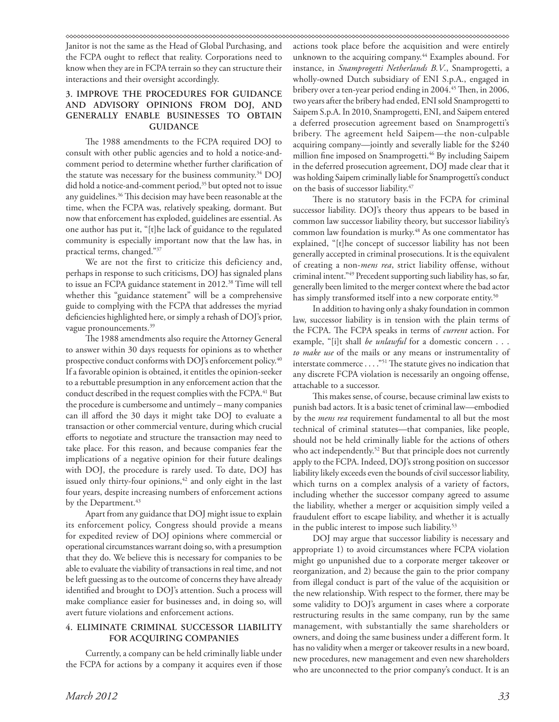Janitor is not the same as the Head of Global Purchasing, and the FCPA ought to reflect that reality. Corporations need to know when they are in FCPA terrain so they can structure their interactions and their oversight accordingly.

# **3. IMPROVE THE PROCEDURES FOR GUIDANCE AND ADVISORY OPINIONS FROM DOJ, AND GENERALLY ENABLE BUSINESSES TO OBTAIN GUIDANCE**

The 1988 amendments to the FCPA required DOJ to consult with other public agencies and to hold a notice-andcomment period to determine whether further clarification of the statute was necessary for the business community.<sup>34</sup> DOJ did hold a notice-and-comment period,<sup>35</sup> but opted not to issue any guidelines.36 This decision may have been reasonable at the time, when the FCPA was, relatively speaking, dormant. But now that enforcement has exploded, guidelines are essential. As one author has put it, "[t]he lack of guidance to the regulated community is especially important now that the law has, in practical terms, changed."37

We are not the first to criticize this deficiency and, perhaps in response to such criticisms, DOJ has signaled plans to issue an FCPA guidance statement in 2012.<sup>38</sup> Time will tell whether this "guidance statement" will be a comprehensive guide to complying with the FCPA that addresses the myriad deficiencies highlighted here, or simply a rehash of DOJ's prior, vague pronouncements.<sup>39</sup>

The 1988 amendments also require the Attorney General to answer within 30 days requests for opinions as to whether prospective conduct conforms with DOJ's enforcement policy.<sup>40</sup> If a favorable opinion is obtained, it entitles the opinion-seeker to a rebuttable presumption in any enforcement action that the conduct described in the request complies with the FCPA.<sup>41</sup> But the procedure is cumbersome and untimely – many companies can ill afford the 30 days it might take DOJ to evaluate a transaction or other commercial venture, during which crucial efforts to negotiate and structure the transaction may need to take place. For this reason, and because companies fear the implications of a negative opinion for their future dealings with DOJ, the procedure is rarely used. To date, DOJ has issued only thirty-four opinions,<sup>42</sup> and only eight in the last four years, despite increasing numbers of enforcement actions by the Department.<sup>43</sup>

Apart from any guidance that DOJ might issue to explain its enforcement policy, Congress should provide a means for expedited review of DOJ opinions where commercial or operational circumstances warrant doing so, with a presumption that they do. We believe this is necessary for companies to be able to evaluate the viability of transactions in real time, and not be left guessing as to the outcome of concerns they have already identified and brought to DOJ's attention. Such a process will make compliance easier for businesses and, in doing so, will avert future violations and enforcement actions.

# **4. ELIMINATE CRIMINAL SUCCESSOR LIABILITY FOR ACQUIRING COMPANIES**

Currently, a company can be held criminally liable under the FCPA for actions by a company it acquires even if those actions took place before the acquisition and were entirely unknown to the acquiring company.<sup>44</sup> Examples abound. For instance, in *Snamprogetti Netherlands B.V*., Snamprogetti, a wholly-owned Dutch subsidiary of ENI S.p.A., engaged in bribery over a ten-year period ending in 2004.<sup>45</sup> Then, in 2006, two years after the bribery had ended, ENI sold Snamprogetti to Saipem S.p.A. In 2010, Snamprogetti, ENI, and Saipem entered a deferred prosecution agreement based on Snamprogetti's bribery. The agreement held Saipem—the non-culpable acquiring company—jointly and severally liable for the \$240 million fine imposed on Snamprogetti.<sup>46</sup> By including Saipem in the deferred prosecution agreement, DOJ made clear that it was holding Saipem criminally liable for Snamprogetti's conduct on the basis of successor liability.47

There is no statutory basis in the FCPA for criminal successor liability. DOJ's theory thus appears to be based in common law successor liability theory, but successor liability's common law foundation is murky.<sup>48</sup> As one commentator has explained, "[t]he concept of successor liability has not been generally accepted in criminal prosecutions. It is the equivalent of creating a non-*mens rea*, strict liability offense, without criminal intent."49 Precedent supporting such liability has, so far, generally been limited to the merger context where the bad actor has simply transformed itself into a new corporate entity.<sup>50</sup>

In addition to having only a shaky foundation in common law, successor liability is in tension with the plain terms of the FCPA. The FCPA speaks in terms of *current* action. For example, "[i]t shall *be unlawful* for a domestic concern . . . *to make use* of the mails or any means or instrumentality of interstate commerce . . . ."51 The statute gives no indication that any discrete FCPA violation is necessarily an ongoing offense, attachable to a successor.

This makes sense, of course, because criminal law exists to punish bad actors. It is a basic tenet of criminal law—embodied by the *mens rea* requirement fundamental to all but the most technical of criminal statutes—that companies, like people, should not be held criminally liable for the actions of others who act independently.<sup>52</sup> But that principle does not currently apply to the FCPA. Indeed, DOJ's strong position on successor liability likely exceeds even the bounds of civil successor liability, which turns on a complex analysis of a variety of factors, including whether the successor company agreed to assume the liability, whether a merger or acquisition simply veiled a fraudulent effort to escape liability, and whether it is actually in the public interest to impose such liability.<sup>53</sup>

DOJ may argue that successor liability is necessary and appropriate 1) to avoid circumstances where FCPA violation might go unpunished due to a corporate merger takeover or reorganization, and 2) because the gain to the prior company from illegal conduct is part of the value of the acquisition or the new relationship. With respect to the former, there may be some validity to DOJ's argument in cases where a corporate restructuring results in the same company, run by the same management, with substantially the same shareholders or owners, and doing the same business under a different form. It has no validity when a merger or takeover results in a new board, new procedures, new management and even new shareholders who are unconnected to the prior company's conduct. It is an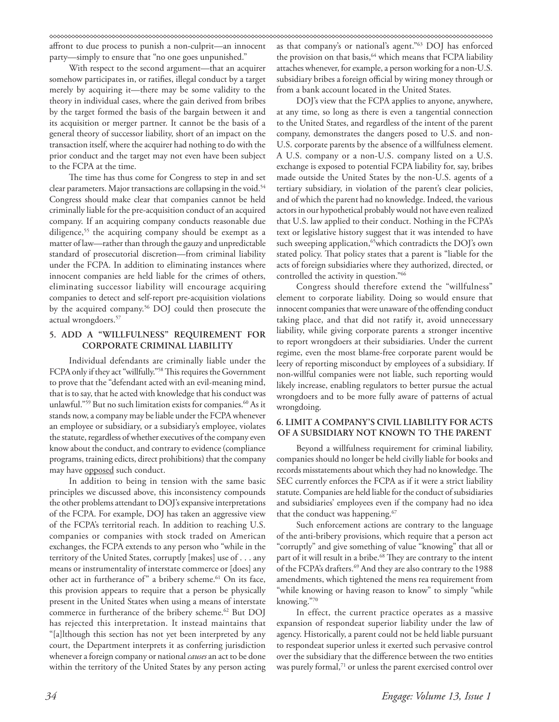affront to due process to punish a non-culprit—an innocent party—simply to ensure that "no one goes unpunished."

With respect to the second argument—that an acquirer somehow participates in, or ratifies, illegal conduct by a target merely by acquiring it—there may be some validity to the theory in individual cases, where the gain derived from bribes by the target formed the basis of the bargain between it and its acquisition or merger partner. It cannot be the basis of a general theory of successor liability, short of an impact on the transaction itself, where the acquirer had nothing to do with the prior conduct and the target may not even have been subject to the FCPA at the time.

The time has thus come for Congress to step in and set clear parameters. Major transactions are collapsing in the void.<sup>54</sup> Congress should make clear that companies cannot be held criminally liable for the pre-acquisition conduct of an acquired company. If an acquiring company conducts reasonable due diligence,<sup>55</sup> the acquiring company should be exempt as a matter of law—rather than through the gauzy and unpredictable standard of prosecutorial discretion—from criminal liability under the FCPA. In addition to eliminating instances where innocent companies are held liable for the crimes of others, eliminating successor liability will encourage acquiring companies to detect and self-report pre-acquisition violations by the acquired company.56 DOJ could then prosecute the actual wrongdoers.57

# **5. ADD A "WILLFULNESS" REQUIREMENT FOR CORPORATE CRIMINAL LIABILITY**

Individual defendants are criminally liable under the FCPA only if they act "willfully."58 This requires the Government to prove that the "defendant acted with an evil-meaning mind, that is to say, that he acted with knowledge that his conduct was unlawful."<sup>59</sup> But no such limitation exists for companies.<sup>60</sup> As it stands now, a company may be liable under the FCPA whenever an employee or subsidiary, or a subsidiary's employee, violates the statute, regardless of whether executives of the company even know about the conduct, and contrary to evidence (compliance programs, training edicts, direct prohibitions) that the company may have opposed such conduct.

In addition to being in tension with the same basic principles we discussed above, this inconsistency compounds the other problems attendant to DOJ's expansive interpretations of the FCPA. For example, DOJ has taken an aggressive view of the FCPA's territorial reach. In addition to reaching U.S. companies or companies with stock traded on American exchanges, the FCPA extends to any person who "while in the territory of the United States, corruptly [makes] use of . . . any means or instrumentality of interstate commerce or [does] any other act in furtherance of" a bribery scheme.<sup>61</sup> On its face, this provision appears to require that a person be physically present in the United States when using a means of interstate commerce in furtherance of the bribery scheme.<sup>62</sup> But DOJ has rejected this interpretation. It instead maintains that "[a]lthough this section has not yet been interpreted by any court, the Department interprets it as conferring jurisdiction whenever a foreign company or national *causes* an act to be done within the territory of the United States by any person acting

as that company's or national's agent."63 DOJ has enforced the provision on that basis,<sup>64</sup> which means that FCPA liability attaches whenever, for example, a person working for a non-U.S. subsidiary bribes a foreign official by wiring money through or from a bank account located in the United States.

DOJ's view that the FCPA applies to anyone, anywhere, at any time, so long as there is even a tangential connection to the United States, and regardless of the intent of the parent company, demonstrates the dangers posed to U.S. and non-U.S. corporate parents by the absence of a willfulness element. A U.S. company or a non-U.S. company listed on a U.S. exchange is exposed to potential FCPA liability for, say, bribes made outside the United States by the non-U.S. agents of a tertiary subsidiary, in violation of the parent's clear policies, and of which the parent had no knowledge. Indeed, the various actors in our hypothetical probably would not have even realized that U.S. law applied to their conduct. Nothing in the FCPA's text or legislative history suggest that it was intended to have such sweeping application,<sup>65</sup>which contradicts the DOJ's own stated policy. That policy states that a parent is "liable for the acts of foreign subsidiaries where they authorized, directed, or controlled the activity in question."66

Congress should therefore extend the "willfulness" element to corporate liability. Doing so would ensure that innocent companies that were unaware of the offending conduct taking place, and that did not ratify it, avoid unnecessary liability, while giving corporate parents a stronger incentive to report wrongdoers at their subsidiaries. Under the current regime, even the most blame-free corporate parent would be leery of reporting misconduct by employees of a subsidiary. If non-willful companies were not liable, such reporting would likely increase, enabling regulators to better pursue the actual wrongdoers and to be more fully aware of patterns of actual wrongdoing.

# **6. LIMIT A COMPANY'S CIVIL LIABILITY FOR ACTS OF A SUBSIDIARY NOT KNOWN TO THE PARENT**

Beyond a willfulness requirement for criminal liability, companies should no longer be held civilly liable for books and records misstatements about which they had no knowledge. The SEC currently enforces the FCPA as if it were a strict liability statute. Companies are held liable for the conduct of subsidiaries and subsidiaries' employees even if the company had no idea that the conduct was happening.<sup>67</sup>

Such enforcement actions are contrary to the language of the anti-bribery provisions, which require that a person act "corruptly" and give something of value "knowing" that all or part of it will result in a bribe.<sup>68</sup> They are contrary to the intent of the FCPA's drafters.<sup>69</sup> And they are also contrary to the 1988 amendments, which tightened the mens rea requirement from "while knowing or having reason to know" to simply "while knowing."70

In effect, the current practice operates as a massive expansion of respondeat superior liability under the law of agency. Historically, a parent could not be held liable pursuant to respondeat superior unless it exerted such pervasive control over the subsidiary that the difference between the two entities was purely formal,<sup>71</sup> or unless the parent exercised control over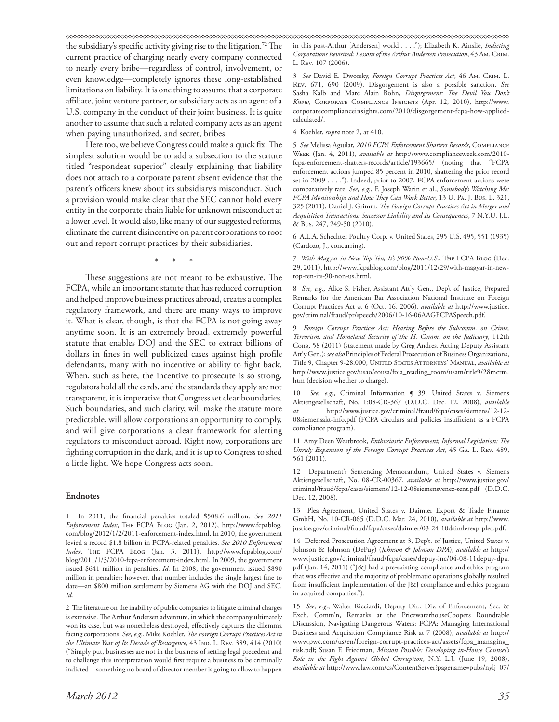the subsidiary's specific activity giving rise to the litigation.72 The current practice of charging nearly every company connected to nearly every bribe—regardless of control, involvement, or even knowledge—completely ignores these long-established limitations on liability. It is one thing to assume that a corporate affiliate, joint venture partner, or subsidiary acts as an agent of a U.S. company in the conduct of their joint business. It is quite another to assume that such a related company acts as an agent when paying unauthorized, and secret, bribes.

Here too, we believe Congress could make a quick fix. The simplest solution would be to add a subsection to the statute titled "respondeat superior" clearly explaining that liability does not attach to a corporate parent absent evidence that the parent's officers knew about its subsidiary's misconduct. Such a provision would make clear that the SEC cannot hold every entity in the corporate chain liable for unknown misconduct at a lower level. It would also, like many of our suggested reforms, eliminate the current disincentive on parent corporations to root out and report corrupt practices by their subsidiaries.

\* \* \*

These suggestions are not meant to be exhaustive. The FCPA, while an important statute that has reduced corruption and helped improve business practices abroad, creates a complex regulatory framework, and there are many ways to improve it. What is clear, though, is that the FCPA is not going away anytime soon. It is an extremely broad, extremely powerful statute that enables DOJ and the SEC to extract billions of dollars in fines in well publicized cases against high profile defendants, many with no incentive or ability to fight back. When, such as here, the incentive to prosecute is so strong, regulators hold all the cards, and the standards they apply are not transparent, it is imperative that Congress set clear boundaries. Such boundaries, and such clarity, will make the statute more predictable, will allow corporations an opportunity to comply, and will give corporations a clear framework for alerting regulators to misconduct abroad. Right now, corporations are fighting corruption in the dark, and it is up to Congress to shed a little light. We hope Congress acts soon.

# **Endnotes**

1 In 2011, the financial penalties totaled \$508.6 million. *See 2011 Enforcement Index*, The FCPA Blog (Jan. 2, 2012), http://www.fcpablog. com/blog/2012/1/2/2011-enforcement-index.html. In 2010, the government levied a record \$1.8 billion in FCPA-related penalties. *See 2010 Enforcement Index*, The FCPA Blog (Jan. 3, 2011), http://www.fcpablog.com/ blog/2011/1/3/2010-fcpa-enforcement-index.html. In 2009, the government issued \$641 million in penalties. *Id.* In 2008, the government issued \$890 million in penalties; however, that number includes the single largest fine to date—an \$800 million settlement by Siemens AG with the DOJ and SEC. *Id.* 

2 The literature on the inability of public companies to litigate criminal charges is extensive. The Arthur Andersen adventure, in which the company ultimately won its case, but was nonetheless destroyed, effectively captures the dilemma facing corporations. *See, e.g.*, Mike Koehler, *The Foreign Corrupt Practices Act in*  the Ultimate Year of Its Decade of Resurgence, 43 Ind. L. Rev. 389, 414 (2010) ("Simply put, businesses are not in the business of setting legal precedent and to challenge this interpretation would first require a business to be criminally indicted—something no board of director member is going to allow to happen

in this post-Arthur [Andersen] world . . . ."); Elizabeth K. Ainslie, *Indicting Corporations Revisited: Lessons of the Arthur Andersen Prosecution*, 43 Am. Crim. L. Rev. 107 (2006).

3 *See* David E. Dworsky, *Foreign Corrupt Practices Act*, 46 Am. Crim. L. Rev. 671, 690 (2009). Disgorgement is also a possible sanction. *See* Sasha Kalb and Marc Alain Bohn, *Disgorgement: The Devil You Don't Know*, Corporate Compliance Insights (Apr. 12, 2010), http://www. corporatecomplianceinsights.com/2010/disgorgement-fcpa-how-appliedcalculated/.

4 Koehler, *supra* note 2, at 410.

5 *See* Melissa Aguilar, *2010 FCPA Enforcement Shatters Records*, Compliance Week (Jan. 4, 2011), *available at* http://www.complianceweek.com/2010 fcpa-enforcement-shatters-records/article/193665/ (noting that "FCPA enforcement actions jumped 85 percent in 2010, shattering the prior record set in 2009 . . . ."). Indeed, prior to 2007, FCPA enforcement actions were comparatively rare. *See, e.g.*, F. Joseph Warin et al., *Somebody's Watching Me: FCPA Monitorships and How They Can Work Better*, 13 U. Pa. J. Bus. L. 321, 325 (2011); Daniel J. Grimm, *The Foreign Corrupt Practices Act in Merger and Acquisition Transactions: Successor Liability and Its Consequences*, 7 N.Y.U. J.L. & Bus. 247, 249-50 (2010).

6 A.L.A. Schechter Poultry Corp. v. United States, 295 U.S. 495, 551 (1935) (Cardozo, J., concurring).

7 *With Magyar in New Top Ten, It's 90% Non-U.S.*, The FCPA Blog (Dec. 29, 2011), http://www.fcpablog.com/blog/2011/12/29/with-magyar-in-newtop-ten-its-90-non-us.html.

8 *See, e.g.,* Alice S. Fisher, Assistant Att'y Gen., Dep't of Justice, Prepared Remarks for the American Bar Association National Institute on Foreign Corrupt Practices Act at 6 (Oct. 16, 2006), *available at* http://www.justice. gov/criminal/fraud/pr/speech/2006/10-16-06AAGFCPASpeech.pdf.

9 *Foreign Corrupt Practices Act: Hearing Before the Subcomm. on Crime, Terrorism, and Homeland Security of the H. Comm. on the Judiciary*, 112th Cong. 58 (2011) (statement made by Greg Andres, Acting Deputy Assistant Att'y Gen.); *see also* Principles of Federal Prosecution of Business Organizations, Title 9, Chapter 9-28.000, United States Attorneys' Manual, *available at* http://www.justice.gov/usao/eousa/foia\_reading\_room/usam/title9/28mcrm. htm (decision whether to charge).

See, e.g., Criminal Information **[ 39**, United States v. Siemens Aktiengesellschaft, No. 1:08-CR-367 (D.D.C. Dec. 12, 2008), *available at* http://www.justice.gov/criminal/fraud/fcpa/cases/siemens/12-12- 08siemensakt-info.pdf (FCPA circulars and policies insufficient as a FCPA compliance program).

11 Amy Deen Westbrook, *Enthusiastic Enforcement, Informal Legislation: The Unruly Expansion of the Foreign Corrupt Practices Act*, 45 Ga. L. Rev. 489, 561 (2011).

12 Department's Sentencing Memorandum, United States v. Siemens Aktiengesellschaft, No. 08-CR-00367, *available at* http://www.justice.gov/ criminal/fraud/fcpa/cases/siemens/12-12-08siemensvenez-sent.pdf (D.D.C. Dec. 12, 2008).

13 Plea Agreement, United States v. Daimler Export & Trade Finance GmbH, No. 10-CR-065 (D.D.C. Mar. 24, 2010), *available at* http://www. justice.gov/criminal/fraud/fcpa/cases/daimler/03-24-10daimlerexp-plea.pdf.

14 Deferred Prosecution Agreement at 3, Dep't. of Justice, United States v. Johnson & Johnson (DePuy) (*Johnson & Johnson DPA*), *available at* http:// www.justice.gov/criminal/fraud/fcpa/cases/depuy-inc/04-08-11depuy-dpa. pdf (Jan. 14, 2011) ("J&J had a pre-existing compliance and ethics program that was effective and the majority of problematic operations globally resulted from insufficient implementation of the J&J compliance and ethics program in acquired companies.").

15 *See, e.g*., Walter Ricciardi, Deputy Dir., Div. of Enforcement, Sec. & Exch. Comm'n, Remarks at the PricewaterhouseCoopers Roundtable Discussion, Navigating Dangerous Waters: FCPA: Managing International Business and Acquisition Compliance Risk at 7 (2008), *available at* http:// www.pwc.com/us/en/foreign-corrupt-practices-act/assets/fcpa\_managing\_ risk.pdf; Susan F. Friedman, *Mission Possible: Developing in-House Counsel's Role in the Fight Against Global Corruption*, N.Y. L.J. (June 19, 2008), *available at* http://www.law.com/cs/ContentServer?pagename=pubs/nylj\_07/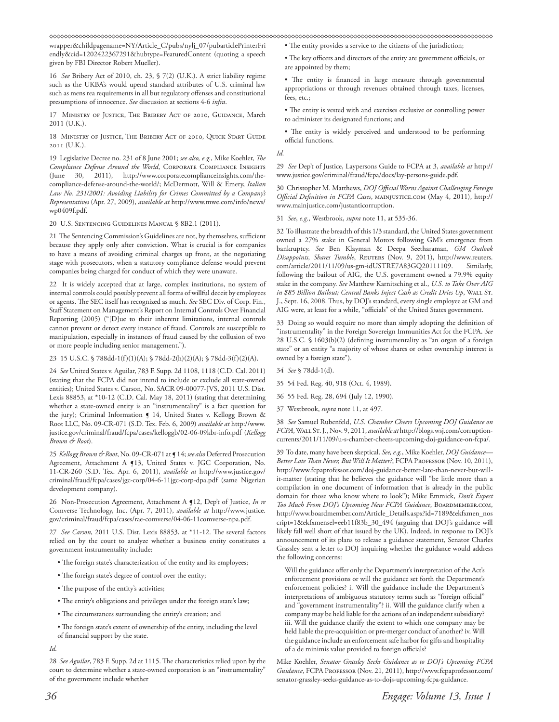wrapper&childpagename=NY/Article\_C/pubs/nylj\_07/pubarticlePrinterFri endly&cid=1202422367291&hubtype=FeaturedContent (quoting a speech given by FBI Director Robert Mueller).

16 *See* Bribery Act of 2010, ch. 23, § 7(2) (U.K.). A strict liability regime such as the UKBA's would upend standard attributes of U.S. criminal law such as mens rea requirements in all but regulatory offenses and constitutional presumptions of innocence. *See* discussion at sections 4-6 *infra*.

17 MINISTRY OF JUSTICE, THE BRIBERY ACT OF 2010, GUIDANCE, March 2011 (U.K.).

18 MINISTRY OF JUSTICE, THE BRIBERY ACT OF 2010, QUICK START GUIDE (U.K.).

19 Legislative Decree no. 231 of 8 June 2001; *see also, e.g*., Mike Koehler, *The*  Compliance Defense Around the World, CORPORATE COMPLIANCE INSIGHTS (June 30, 2011), http://www.corporatecomplianceinsights.com/thecompliance-defense-around-the-world/; McDermott, Will & Emery, *Italian Law No. 231/2001: Avoiding Liability for Crimes Committed by a Company's Representatives* (Apr. 27, 2009), *available at* http://www.mwe.com/info/news/ wp0409f.pdf.

20 U.S. Sentencing Guidelines Manual § 8B2.1 (2011).

21 The Sentencing Commission's Guidelines are not, by themselves, sufficient because they apply only after conviction. What is crucial is for companies to have a means of avoiding criminal charges up front, at the negotiating stage with prosecutors, when a statutory compliance defense would prevent companies being charged for conduct of which they were unaware.

22 It is widely accepted that at large, complex institutions, no system of internal controls could possibly prevent all forms of willful deceit by employees or agents. The SEC itself has recognized as much. *See* SEC Div. of Corp. Fin., Staff Statement on Management's Report on Internal Controls Over Financial Reporting (2005) ("[D]ue to their inherent limitations, internal controls cannot prevent or detect every instance of fraud. Controls are susceptible to manipulation, especially in instances of fraud caused by the collusion of two or more people including senior management.").

23 15 U.S.C. § 788dd-1(f)(1)(A); § 78dd-2(h)(2)(A); § 78dd-3(f)(2)(A).

24 *See* United States v. Aguilar, 783 F. Supp. 2d 1108, 1118 (C.D. Cal. 2011) (stating that the FCPA did not intend to include or exclude all state-owned entities); United States v. Carson, No. SACR 09-00077-JVS, 2011 U.S. Dist. Lexis 88853, at \*10-12 (C.D. Cal. May 18, 2011) (stating that determining whether a state-owned entity is an "instrumentality" is a fact question for the jury); Criminal Information § 14, United States v. Kellogg Brown & Root LLC, No. 09-CR-071 (S.D. Tex. Feb. 6, 2009) *available at* http://www. justice.gov/criminal/fraud/fcpa/cases/kelloggb/02-06-09kbr-info.pdf (*Kellogg Brown & Root*).

25 *Kellogg Brown & Root*, No. 09-CR-071 at ¶ 14; *see also* Deferred Prosecution Agreement, Attachment A ¶13, United States v. JGC Corporation, No. 11-CR-260 (S.D. Tex. Apr. 6, 2011), *available at* http://www.justice.gov/ criminal/fraud/fcpa/cases/jgc-corp/04-6-11jgc-corp-dpa.pdf (same Nigerian development company).

26 Non-Prosecution Agreement, Attachment A ¶12, Dep't of Justice, *In re*  Comverse Technology, Inc. (Apr. 7, 2011), *available at* http://www.justice. gov/criminal/fraud/fcpa/cases/rae-comverse/04-06-11comverse-npa.pdf.

27 *See Carson*, 2011 U.S. Dist. Lexis 88853, at \*11-12. The several factors relied on by the court to analyze whether a business entity constitutes a government instrumentality include:

- The foreign state's characterization of the entity and its employees;
- The foreign state's degree of control over the entity;
- The purpose of the entity's activities;
- The entity's obligations and privileges under the foreign state's law;
- The circumstances surrounding the entity's creation; and
- The foreign state's extent of ownership of the entity, including the level of financial support by the state.

*Id.* 

28 *See Aguilar*, 783 F. Supp. 2d at 1115. The characteristics relied upon by the court to determine whether a state-owned corporation is an "instrumentality" of the government include whether

- The entity provides a service to the citizens of the jurisdiction; • The key officers and directors of the entity are government officials, or
- are appointed by them;

• The entity is financed in large measure through governmental appropriations or through revenues obtained through taxes, licenses, fees, etc.;

- The entity is vested with and exercises exclusive or controlling power to administer its designated functions; and
- The entity is widely perceived and understood to be performing official functions.

*Id.* 

29 *See* Dep't of Justice, Laypersons Guide to FCPA at 3, *available at* http:// www.justice.gov/criminal/fraud/fcpa/docs/lay-persons-guide.pdf.

30 Christopher M. Matthews, *DOJ Official Warns Against Challenging Foreign Official Definition in FCPA Cases*, mainjustice.com (May 4, 2011), http:// www.mainjustice.com/justanticorruption.

31 *See*, *e.g*., Westbrook, *supra* note 11, at 535-36.

32 To illustrate the breadth of this 1/3 standard, the United States government owned a 27% stake in General Motors following GM's emergence from bankruptcy. *See* Ben Klayman & Deepa Seetharaman*, GM Outlook Disappoints, Shares Tumble*, Reuters (Nov. 9, 2011), http://www.reuters. com/article/2011/11/09/us-gm-idUSTRE7A83GQ20111109. Similarly, following the bailout of AIG, the U.S. government owned a 79.9% equity stake in the company. *See* Matthew Karnitsching et al., *U.S. to Take Over AIG*  in \$85 Billion Bailout; Central Banks Inject Cash as Credit Dries Up, WALL ST. J., Sept. 16, 2008. Thus, by DOJ's standard, every single employee at GM and AIG were, at least for a while, "officials" of the United States government.

33 Doing so would require no more than simply adopting the definition of "instrumentality" in the Foreign Sovereign Immunities Act for the FCPA. *See*  28 U.S.C. § 1603(b)(2) (defining instrumentality as "an organ of a foreign state" or an entity "a majority of whose shares or other ownership interest is owned by a foreign state").

- 34 *See* § 78dd-1(d).
- 35 54 Fed. Reg. 40, 918 (Oct. 4, 1989).
- 36 55 Fed. Reg. 28, 694 (July 12, 1990).
- 37 Westbrook, *supra* note 11, at 497.

38 *See* Samuel Rubenfeld, *U.S. Chamber Cheers Upcoming DOJ Guidance on FCPA*, Wall St. J., Nov. 9, 2011, *available at* http://blogs.wsj.com/corruptioncurrents/2011/11/09/u-s-chamber-cheers-upcoming-doj-guidance-on-fcpa/.

39 To date, many have been skeptical. *See, e.g.*, Mike Koehler, *DOJ Guidance—* Better Late Than Never, But Will It Matter?, FCPA PROFESSOR (Nov. 10, 2011), http://www.fcpaprofessor.com/doj-guidance-better-late-than-never-but-willit-matter (stating that he believes the guidance will "be little more than a compilation in one document of information that is already in the public domain for those who know where to look"); Mike Emmick, *Don't Expect*  Too Much From DOJ's Upcoming New FCPA Guidance, BOARDMEMBER.COM, http://www.boardmember.com/Article\_Details.aspx?id=7189&ekfxmen\_nos cript=1&ekfxmensel=eeb11f83b\_30\_494 (arguing that DOJ's guidance will likely fall well short of that issued by the UK). Indeed, in response to DOJ's announcement of its plans to release a guidance statement, Senator Charles Grassley sent a letter to DOJ inquiring whether the guidance would address the following concerns:

Will the guidance offer only the Department's interpretation of the Act's enforcement provisions or will the guidance set forth the Department's enforcement policies? i. Will the guidance include the Department's interpretations of ambiguous statutory terms such as "foreign official" and "government instrumentality"? ii. Will the guidance clarify when a company may be held liable for the actions of an independent subsidiary? iii. Will the guidance clarify the extent to which one company may be held liable the pre-acquisition or pre-merger conduct of another? iv. Will the guidance include an enforcement safe harbor for gifts and hospitality of a de minimis value provided to foreign officials?

Mike Koehler, *Senator Grassley Seeks Guidance as to DOJ's Upcoming FCPA*  Guidance, FCPA PROFESSOR (Nov. 21, 2011), http://www.fcpaprofessor.com/ senator-grassley-seeks-guidance-as-to-dojs-upcoming-fcpa-guidance.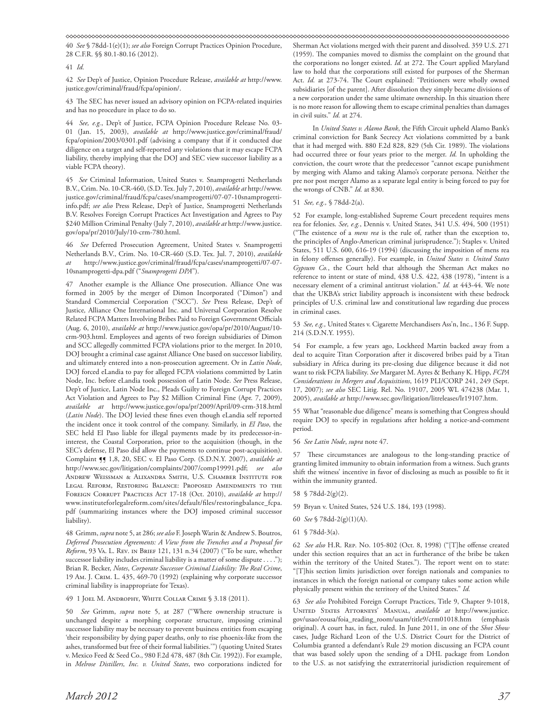40 *See* § 78dd-1(e)(1); *see also* Foreign Corrupt Practices Opinion Procedure, 28 C.F.R. §§ 80.1-80.16 (2012).

#### 41 *Id.*

42 *See* Dep't of Justice, Opinion Procedure Release, *available at* http://www. justice.gov/criminal/fraud/fcpa/opinion/.

43 The SEC has never issued an advisory opinion on FCPA-related inquiries and has no procedure in place to do so.

44 *See, e.g.*, Dep't of Justice, FCPA Opinion Procedure Release No. 03- 01 (Jan. 15, 2003), *available at* http://www.justice.gov/criminal/fraud/ fcpa/opinion/2003/0301.pdf (advising a company that if it conducted due diligence on a target and self-reported any violations that it may escape FCPA liability, thereby implying that the DOJ and SEC view successor liability as a viable FCPA theory).

45 *See* Criminal Information, United States v. Snamprogetti Netherlands B.V., Crim. No. 10-CR-460, (S.D. Tex. July 7, 2010), *available at* http://www. justice.gov/criminal/fraud/fcpa/cases/snamprogetti/07-07-10snamprogettiinfo.pdf; *see also* Press Release, Dep't of Justice, Snamprogetti Netherlands B.V. Resolves Foreign Corrupt Practices Act Investigation and Agrees to Pay \$240 Million Criminal Penalty (July 7, 2010), *available at* http://www.justice. gov/opa/pr/2010/July/10-crm-780.html.

46 *See* Deferred Prosecution Agreement, United States v. Snamprogetti Netherlands B.V., Crim. No. 10-CR-460 (S.D. Tex. Jul. 7, 2010), *available at* http://www.justice.gov/criminal/fraud/fcpa/cases/snamprogetti/07-07- 10snamprogetti-dpa.pdf ("*Snamprogetti DPA*").

47 Another example is the Alliance One prosecution. Alliance One was formed in 2005 by the merger of Dimon Incorporated ("Dimon") and Standard Commercial Corporation ("SCC"). *See* Press Release, Dep't of Justice*,* Alliance One International Inc. and Universal Corporation Resolve Related FCPA Matters Involving Bribes Paid to Foreign Government Officials (Aug. 6, 2010), *available at* http://www.justice.gov/opa/pr/2010/August/10 crm-903.html. Employees and agents of two foreign subsidiaries of Dimon and SCC allegedly committed FCPA violations prior to the merger. In 2010, DOJ brought a criminal case against Alliance One based on successor liability, and ultimately entered into a non-prosecution agreement. Or in *Latin Node*, DOJ forced eLandia to pay for alleged FCPA violations committed by Latin Node, Inc. before eLandia took possession of Latin Node. *See* Press Release, Dep't of Justice, Latin Node Inc., Pleads Guilty to Foreign Corrupt Practices Act Violation and Agrees to Pay \$2 Million Criminal Fine (Apr. 7, 2009), *available at* http://www.justice.gov/opa/pr/2009/April/09-crm-318.html (*Latin Node*). The DOJ levied these fines even though eLandia self reported the incident once it took control of the company. Similarly, in *El Paso*, the SEC held El Paso liable for illegal payments made by its predecessor-ininterest, the Coastal Corporation, prior to the acquisition (though, in the SEC's defense, El Paso did allow the payments to continue post-acquisition). Complaint ¶¶ 1,8, 20, SEC v. El Paso Corp. (S.D.N.Y. 2007), *available at* http://www.sec.gov/litigation/complaints/2007/comp19991.pdf; *see also* Andrew Weissman & Alixandra Smith, U.S. Chamber Institute for Legal Reform, Restoring Balance: Proposed Amendments to the Foreign Corrupt Practices Act 17-18 (Oct. 2010), *available at* http:// www.instituteforlegalreform.com/sites/default/files/restoringbalance\_fcpa. pdf (summarizing instances where the DOJ imposed criminal successor liability).

48 Grimm, *supra* note 5, at 286; *see also* F. Joseph Warin & Andrew S. Boutros, *Deferred Prosecution Agreements: A View from the Trenches and a Proposal for Reform*, 93 Va. L. Rev. in Brief 121, 131 n.34 (2007) ("To be sure, whether successor liability includes criminal liability is a matter of some dispute . . . ."); Brian R. Becker, *Notes*, *Corporate Successor Criminal Liability: The Real Crime*, 19 Am. J. Crim. L. 435, 469-70 (1992) (explaining why corporate successor criminal liability is inappropriate for Texas).

## 49 1 Joel M. Androphy, White Collar Crime § 3.18 (2011).

50 *See* Grimm, *supra* note 5, at 287 ("Where ownership structure is unchanged despite a morphing corporate structure, imposing criminal successor liability may be necessary to prevent business entities from escaping 'their responsibility by dying paper deaths, only to rise phoenix-like from the ashes, transformed but free of their formal liabilities.'") (quoting United States v. Mexico Feed & Seed Co., 980 F.2d 478, 487 (8th Cir. 1992)). For example, in *Melrose Distillers, Inc. v. United States*, two corporations indicted for

Sherman Act violations merged with their parent and dissolved. 359 U.S. 271 (1959). The companies moved to dismiss the complaint on the ground that the corporations no longer existed. *Id.* at 272. The Court applied Maryland law to hold that the corporations still existed for purposes of the Sherman Act. *Id.* at 273-74. The Court explained: "Petitioners were wholly owned subsidiaries [of the parent]. After dissolution they simply became divisions of a new corporation under the same ultimate ownership. In this situation there is no more reason for allowing them to escape criminal penalties than damages in civil suits." *Id.* at 274.

In *United States v. Alamo Bank*, the Fifth Circuit upheld Alamo Bank's criminal conviction for Bank Secrecy Act violations committed by a bank that it had merged with. 880 F.2d 828, 829 (5th Cir. 1989). The violations had occurred three or four years prior to the merger. *Id.* In upholding the conviction, the court wrote that the predecessor "cannot escape punishment by merging with Alamo and taking Alamo's corporate persona. Neither the pre nor post merger Alamo as a separate legal entity is being forced to pay for the wrongs of CNB." *Id.* at 830.

# 51 *See, e.g.,* § 78dd-2(a).

52 For example, long-established Supreme Court precedent requires mens rea for felonies. *See, e.g.*, Dennis v. United States, 341 U.S. 494, 500 (1951) ("The existence of a *mens rea* is the rule of, rather than the exception to, the principles of Anglo-American criminal jurisprudence."); Staples v. United States, 511 U.S. 600, 616-19 (1994) (discussing the imposition of mens rea in felony offenses generally). For example, in *United States v. United States Gypsum Co.*, the Court held that although the Sherman Act makes no reference to intent or state of mind, 438 U.S. 422, 438 (1978), "intent is a necessary element of a criminal antitrust violation." *Id.* at 443-44. We note that the UKBA's strict liability approach is inconsistent with these bedrock principles of U.S. criminal law and constitutional law regarding due process in criminal cases.

53 *See, e.g.,* United States v. Cigarette Merchandisers Ass'n, Inc., 136 F. Supp. 214 (S.D.N.Y. 1955).

54 For example, a few years ago, Lockheed Martin backed away from a deal to acquire Titan Corporation after it discovered bribes paid by a Titan subsidiary in Africa during its pre-closing due diligence because it did not want to risk FCPA liability. *See* Margaret M. Ayres & Bethany K. Hipp, *FCPA Considerations in Mergers and Acquisitions*, 1619 PLI/CORP 241, 249 (Sept. 17, 2007); *see also* SEC Litig. Rel. No. 19107, 2005 WL 474238 (Mar. 1, 2005), *available at* http://www.sec.gov/litigation/litreleases/lr19107.htm.

55 What "reasonable due diligence" means is something that Congress should require DOJ to specify in regulations after holding a notice-and-comment period.

56 *See Latin Node*, *supra* note 47.

57 These circumstances are analogous to the long-standing practice of granting limited immunity to obtain information from a witness. Such grants shift the witness' incentive in favor of disclosing as much as possible to fit it within the immunity granted.

58 § 78dd-2(g)(2).

59 Bryan v. United States, 524 U.S. 184, 193 (1998).

- 60 *See* § 78dd-2(g)(1)(A).
- 61 § 78dd-3(a).

62 *See also* H.R. Rep. No. 105-802 (Oct. 8, 1998) ("[T]he offense created under this section requires that an act in furtherance of the bribe be taken within the territory of the United States."). The report went on to state: "[T]his section limits jurisdiction over foreign nationals and companies to instances in which the foreign national or company takes some action while physically present within the territory of the United States." *Id.* 

63 *See also* Prohibited Foreign Corrupt Practices, Title 9, Chapter 9-1018, United States Attorneys' Manual, *available at* http://www.justice. gov/usao/eousa/foia\_reading\_room/usam/title9/crm01018.htm (emphasis original). A court has, in fact, ruled. In June 2011, in one of the *Shot Show* cases, Judge Richard Leon of the U.S. District Court for the District of Columbia granted a defendant's Rule 29 motion discussing an FCPA count that was based solely upon the sending of a DHL package from London to the U.S. as not satisfying the extraterritorial jurisdiction requirement of